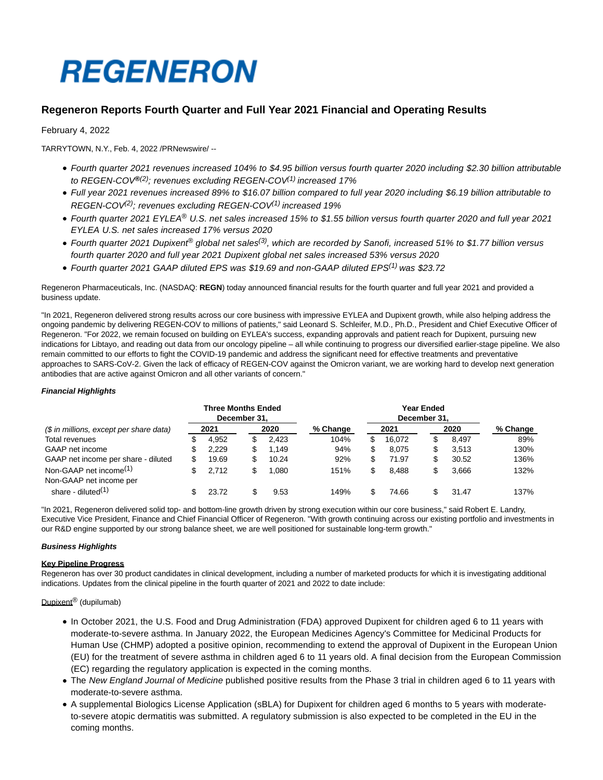# **REGENERON**

# **Regeneron Reports Fourth Quarter and Full Year 2021 Financial and Operating Results**

February 4, 2022

TARRYTOWN, N.Y., Feb. 4, 2022 /PRNewswire/ --

- Fourth quarter 2021 revenues increased 104% to \$4.95 billion versus fourth quarter 2020 including \$2.30 billion attributable to REGEN-COV**®**(2); revenues excluding REGEN-COV(1) increased 17%
- Full year 2021 revenues increased 89% to \$16.07 billion compared to full year 2020 including \$6.19 billion attributable to REGEN-COV<sup>(2)</sup>; revenues excluding REGEN-COV<sup>(1)</sup> increased 19%
- Fourth quarter 2021 EYLEA® U.S. net sales increased 15% to \$1.55 billion versus fourth quarter 2020 and full year 2021 EYLEA U.S. net sales increased 17% versus 2020
- Fourth quarter 2021 Dupixent<sup>®</sup> global net sales<sup>(3)</sup>, which are recorded by Sanofi, increased 51% to \$1.77 billion versus fourth quarter 2020 and full year 2021 Dupixent global net sales increased 53% versus 2020
- Fourth quarter 2021 GAAP diluted EPS was \$19.69 and non-GAAP diluted EPS<sup>(1)</sup> was \$23.72

Regeneron Pharmaceuticals, Inc. (NASDAQ: **REGN**) today announced financial results for the fourth quarter and full year 2021 and provided a business update.

"In 2021, Regeneron delivered strong results across our core business with impressive EYLEA and Dupixent growth, while also helping address the ongoing pandemic by delivering REGEN-COV to millions of patients," said Leonard S. Schleifer, M.D., Ph.D., President and Chief Executive Officer of Regeneron. "For 2022, we remain focused on building on EYLEA's success, expanding approvals and patient reach for Dupixent, pursuing new indications for Libtayo, and reading out data from our oncology pipeline – all while continuing to progress our diversified earlier-stage pipeline. We also remain committed to our efforts to fight the COVID-19 pandemic and address the significant need for effective treatments and preventative approaches to SARS-CoV-2. Given the lack of efficacy of REGEN-COV against the Omicron variant, we are working hard to develop next generation antibodies that are active against Omicron and all other variants of concern."

# **Financial Highlights**

|                                                               |    | <b>Three Months Ended</b> | December 31. |       |          |    | Year Ended<br>December 31. |   |       |          |
|---------------------------------------------------------------|----|---------------------------|--------------|-------|----------|----|----------------------------|---|-------|----------|
| (\$ in millions, except per share data)                       |    | 2021                      |              | 2020  | % Change |    | 2021                       |   | 2020  | % Change |
| Total revenues                                                |    | 4.952                     |              | 2.423 | 104%     | S  | 16.072                     |   | 8.497 | 89%      |
| GAAP net income                                               | S  | 2.229                     |              | .149  | 94%      | \$ | 8.075                      | S | 3.513 | 130%     |
| GAAP net income per share - diluted                           | \$ | 19.69                     |              | 10.24 | 92%      |    | 71.97                      |   | 30.52 | 136%     |
| Non-GAAP net income <sup>(1)</sup><br>Non-GAAP net income per | S  | 2.712                     |              | .080  | 151%     |    | 8.488                      |   | 3.666 | 132%     |
| share - diluted <sup>(1)</sup>                                |    | 23.72                     |              | 9.53  | 149%     |    | 74.66                      |   | 31.47 | 137%     |

"In 2021, Regeneron delivered solid top- and bottom-line growth driven by strong execution within our core business," said Robert E. Landry, Executive Vice President, Finance and Chief Financial Officer of Regeneron. "With growth continuing across our existing portfolio and investments in our R&D engine supported by our strong balance sheet, we are well positioned for sustainable long-term growth."

# **Business Highlights**

# **Key Pipeline Progress**

Regeneron has over 30 product candidates in clinical development, including a number of marketed products for which it is investigating additional indications. Updates from the clinical pipeline in the fourth quarter of 2021 and 2022 to date include:

# Dupixent<sup>®</sup> (dupilumab)

- In October 2021, the U.S. Food and Drug Administration (FDA) approved Dupixent for children aged 6 to 11 years with moderate-to-severe asthma. In January 2022, the European Medicines Agency's Committee for Medicinal Products for Human Use (CHMP) adopted a positive opinion, recommending to extend the approval of Dupixent in the European Union (EU) for the treatment of severe asthma in children aged 6 to 11 years old. A final decision from the European Commission (EC) regarding the regulatory application is expected in the coming months.
- The New England Journal of Medicine published positive results from the Phase 3 trial in children aged 6 to 11 years with moderate-to-severe asthma.
- A supplemental Biologics License Application (sBLA) for Dupixent for children aged 6 months to 5 years with moderateto-severe atopic dermatitis was submitted. A regulatory submission is also expected to be completed in the EU in the coming months.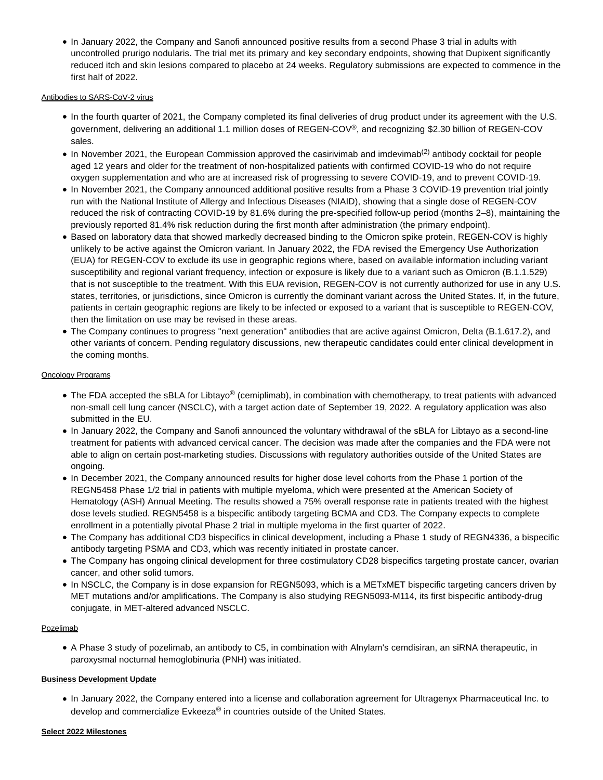In January 2022, the Company and Sanofi announced positive results from a second Phase 3 trial in adults with uncontrolled prurigo nodularis. The trial met its primary and key secondary endpoints, showing that Dupixent significantly reduced itch and skin lesions compared to placebo at 24 weeks. Regulatory submissions are expected to commence in the first half of 2022.

# Antibodies to SARS-CoV-2 virus

- In the fourth quarter of 2021, the Company completed its final deliveries of drug product under its agreement with the U.S. government, delivering an additional 1.1 million doses of REGEN-COV®, and recognizing \$2.30 billion of REGEN-COV sales.
- $\bullet$  In November 2021, the European Commission approved the casirivimab and imdevimab<sup>(2)</sup> antibody cocktail for people aged 12 years and older for the treatment of non-hospitalized patients with confirmed COVID-19 who do not require oxygen supplementation and who are at increased risk of progressing to severe COVID-19, and to prevent COVID-19.
- In November 2021, the Company announced additional positive results from a Phase 3 COVID-19 prevention trial jointly run with the National Institute of Allergy and Infectious Diseases (NIAID), showing that a single dose of REGEN-COV reduced the risk of contracting COVID-19 by 81.6% during the pre-specified follow-up period (months 2–8), maintaining the previously reported 81.4% risk reduction during the first month after administration (the primary endpoint).
- Based on laboratory data that showed markedly decreased binding to the Omicron spike protein, REGEN-COV is highly unlikely to be active against the Omicron variant. In January 2022, the FDA revised the Emergency Use Authorization (EUA) for REGEN-COV to exclude its use in geographic regions where, based on available information including variant susceptibility and regional variant frequency, infection or exposure is likely due to a variant such as Omicron (B.1.1.529) that is not susceptible to the treatment. With this EUA revision, REGEN-COV is not currently authorized for use in any U.S. states, territories, or jurisdictions, since Omicron is currently the dominant variant across the United States. If, in the future, patients in certain geographic regions are likely to be infected or exposed to a variant that is susceptible to REGEN-COV, then the limitation on use may be revised in these areas.
- The Company continues to progress "next generation" antibodies that are active against Omicron, Delta (B.1.617.2), and other variants of concern. Pending regulatory discussions, new therapeutic candidates could enter clinical development in the coming months.

# Oncology Programs

- The FDA accepted the sBLA for Libtayo<sup>®</sup> (cemiplimab), in combination with chemotherapy, to treat patients with advanced non-small cell lung cancer (NSCLC), with a target action date of September 19, 2022. A regulatory application was also submitted in the EU.
- In January 2022, the Company and Sanofi announced the voluntary withdrawal of the sBLA for Libtayo as a second-line treatment for patients with advanced cervical cancer. The decision was made after the companies and the FDA were not able to align on certain post-marketing studies. Discussions with regulatory authorities outside of the United States are ongoing.
- In December 2021, the Company announced results for higher dose level cohorts from the Phase 1 portion of the REGN5458 Phase 1/2 trial in patients with multiple myeloma, which were presented at the American Society of Hematology (ASH) Annual Meeting. The results showed a 75% overall response rate in patients treated with the highest dose levels studied. REGN5458 is a bispecific antibody targeting BCMA and CD3. The Company expects to complete enrollment in a potentially pivotal Phase 2 trial in multiple myeloma in the first quarter of 2022.
- The Company has additional CD3 bispecifics in clinical development, including a Phase 1 study of REGN4336, a bispecific antibody targeting PSMA and CD3, which was recently initiated in prostate cancer.
- The Company has ongoing clinical development for three costimulatory CD28 bispecifics targeting prostate cancer, ovarian cancer, and other solid tumors.
- In NSCLC, the Company is in dose expansion for REGN5093, which is a METxMET bispecific targeting cancers driven by MET mutations and/or amplifications. The Company is also studying REGN5093-M114, its first bispecific antibody-drug conjugate, in MET-altered advanced NSCLC.

# Pozelimab

A Phase 3 study of pozelimab, an antibody to C5, in combination with Alnylam's cemdisiran, an siRNA therapeutic, in paroxysmal nocturnal hemoglobinuria (PNH) was initiated.

# **Business Development Update**

In January 2022, the Company entered into a license and collaboration agreement for Ultragenyx Pharmaceutical Inc. to develop and commercialize Evkeeza**®** in countries outside of the United States.

### **Select 2022 Milestones**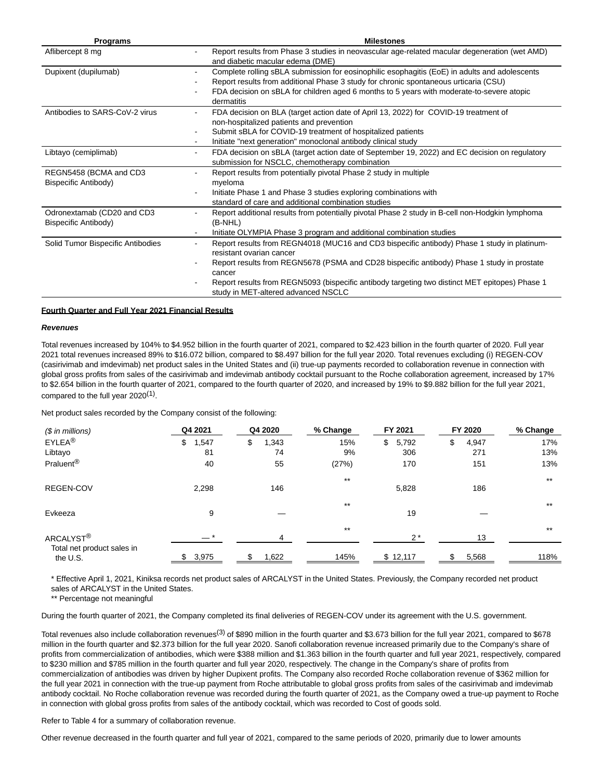| <b>Programs</b>                                       | <b>Milestones</b>                                                                                                                                                                                                                                                                                                                                                        |
|-------------------------------------------------------|--------------------------------------------------------------------------------------------------------------------------------------------------------------------------------------------------------------------------------------------------------------------------------------------------------------------------------------------------------------------------|
| Aflibercept 8 mg                                      | Report results from Phase 3 studies in neovascular age-related macular degeneration (wet AMD)<br>٠<br>and diabetic macular edema (DME)                                                                                                                                                                                                                                   |
| Dupixent (dupilumab)                                  | Complete rolling sBLA submission for eosinophilic esophagitis (EoE) in adults and adolescents<br>Report results from additional Phase 3 study for chronic spontaneous urticaria (CSU)<br>FDA decision on sBLA for children aged 6 months to 5 years with moderate-to-severe atopic<br>dermatitis                                                                         |
| Antibodies to SARS-CoV-2 virus                        | FDA decision on BLA (target action date of April 13, 2022) for COVID-19 treatment of<br>non-hospitalized patients and prevention<br>Submit sBLA for COVID-19 treatment of hospitalized patients<br>Initiate "next generation" monoclonal antibody clinical study<br>٠                                                                                                    |
| Libtayo (cemiplimab)                                  | FDA decision on sBLA (target action date of September 19, 2022) and EC decision on regulatory<br>٠<br>submission for NSCLC, chemotherapy combination                                                                                                                                                                                                                     |
| REGN5458 (BCMA and CD3<br><b>Bispecific Antibody)</b> | Report results from potentially pivotal Phase 2 study in multiple<br>myeloma<br>Initiate Phase 1 and Phase 3 studies exploring combinations with<br>standard of care and additional combination studies                                                                                                                                                                  |
| Odronextamab (CD20 and CD3<br>Bispecific Antibody)    | Report additional results from potentially pivotal Phase 2 study in B-cell non-Hodgkin lymphoma<br>(B-NHL)<br>Initiate OLYMPIA Phase 3 program and additional combination studies<br>٠                                                                                                                                                                                   |
| Solid Tumor Bispecific Antibodies                     | Report results from REGN4018 (MUC16 and CD3 bispecific antibody) Phase 1 study in platinum-<br>resistant ovarian cancer<br>Report results from REGN5678 (PSMA and CD28 bispecific antibody) Phase 1 study in prostate<br>cancer<br>Report results from REGN5093 (bispecific antibody targeting two distinct MET epitopes) Phase 1<br>study in MET-altered advanced NSCLC |

## **Fourth Quarter and Full Year 2021 Financial Results**

#### **Revenues**

Total revenues increased by 104% to \$4.952 billion in the fourth quarter of 2021, compared to \$2.423 billion in the fourth quarter of 2020. Full year 2021 total revenues increased 89% to \$16.072 billion, compared to \$8.497 billion for the full year 2020. Total revenues excluding (i) REGEN-COV (casirivimab and imdevimab) net product sales in the United States and (ii) true-up payments recorded to collaboration revenue in connection with global gross profits from sales of the casirivimab and imdevimab antibody cocktail pursuant to the Roche collaboration agreement, increased by 17% to \$2.654 billion in the fourth quarter of 2021, compared to the fourth quarter of 2020, and increased by 19% to \$9.882 billion for the full year 2021, compared to the full year 2020<sup>(1)</sup>.

Net product sales recorded by the Company consist of the following:

| $$$ in millions)                       | Q4 2021    | Q4 2020     | % Change | FY 2021     | FY 2020     | % Change |
|----------------------------------------|------------|-------------|----------|-------------|-------------|----------|
| EYLEA <sup>®</sup>                     | \$<br>,547 | \$<br>1,343 | 15%      | 5,792<br>\$ | 4,947<br>\$ | 17%      |
| Libtayo                                | 81         | 74          | 9%       | 306         | 271         | 13%      |
| Praluent <sup>®</sup>                  | 40         | 55          | (27%)    | 170         | 151         | 13%      |
|                                        |            |             | $***$    |             |             | $***$    |
| <b>REGEN-COV</b>                       | 2,298      | 146         |          | 5,828       | 186         |          |
|                                        |            |             | $***$    |             |             | $***$    |
| Evkeeza                                | 9          |             |          | 19          |             |          |
|                                        |            |             | $***$    |             |             | $***$    |
| ARCALYST <sup>®</sup>                  | $ *$       | 4           |          | $2*$        | 13          |          |
| Total net product sales in<br>the U.S. | 3,975      | 1,622       | 145%     | \$12,117    | 5,568       | 118%     |

\* Effective April 1, 2021, Kiniksa records net product sales of ARCALYST in the United States. Previously, the Company recorded net product sales of ARCALYST in the United States.

\*\* Percentage not meaningful

During the fourth quarter of 2021, the Company completed its final deliveries of REGEN-COV under its agreement with the U.S. government.

Total revenues also include collaboration revenues<sup>(3)</sup> of \$890 million in the fourth quarter and \$3.673 billion for the full year 2021, compared to \$678 million in the fourth quarter and \$2.373 billion for the full year 2020. Sanofi collaboration revenue increased primarily due to the Company's share of profits from commercialization of antibodies, which were \$388 million and \$1.363 billion in the fourth quarter and full year 2021, respectively, compared to \$230 million and \$785 million in the fourth quarter and full year 2020, respectively. The change in the Company's share of profits from commercialization of antibodies was driven by higher Dupixent profits. The Company also recorded Roche collaboration revenue of \$362 million for the full year 2021 in connection with the true-up payment from Roche attributable to global gross profits from sales of the casirivimab and imdevimab antibody cocktail. No Roche collaboration revenue was recorded during the fourth quarter of 2021, as the Company owed a true-up payment to Roche in connection with global gross profits from sales of the antibody cocktail, which was recorded to Cost of goods sold.

Refer to Table 4 for a summary of collaboration revenue.

Other revenue decreased in the fourth quarter and full year of 2021, compared to the same periods of 2020, primarily due to lower amounts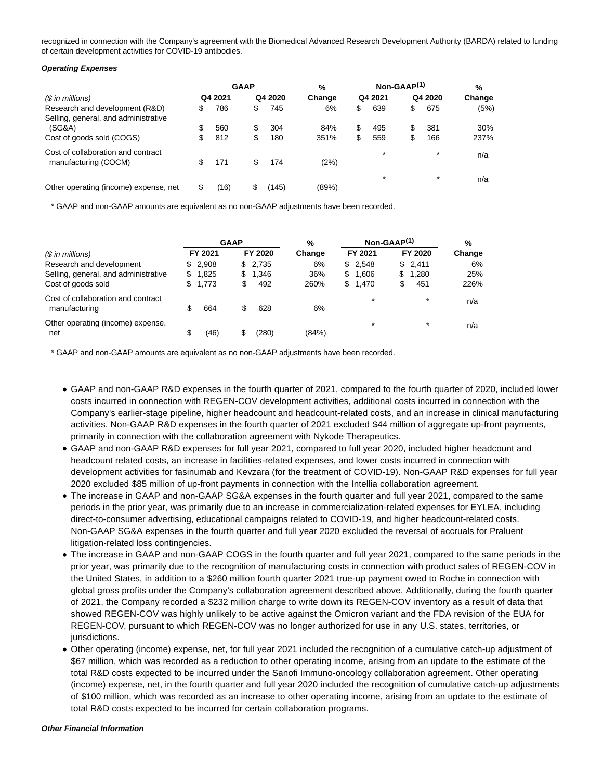recognized in connection with the Company's agreement with the Biomedical Advanced Research Development Authority (BARDA) related to funding of certain development activities for COVID-19 antibodies.

#### **Operating Expenses**

|                                                                        |     | <b>GAAP</b> |   |         | %      | $Non-GAAP(1)$ |         |    |         | %      |  |
|------------------------------------------------------------------------|-----|-------------|---|---------|--------|---------------|---------|----|---------|--------|--|
| (\$ in millions)                                                       |     | Q4 2021     |   | Q4 2020 | Change |               | Q4 2021 |    | Q4 2020 | Change |  |
| Research and development (R&D)<br>Selling, general, and administrative | S   | 786         | æ | 745     | 6%     | \$            | 639     | \$ | 675     | (5%)   |  |
| (SG&A)                                                                 | \$  | 560         | S | 304     | 84%    | \$            | 495     | \$ | 381     | 30%    |  |
| Cost of goods sold (COGS)                                              | \$  | 812         | æ | 180     | 351%   | \$            | 559     | S  | 166     | 237%   |  |
| Cost of collaboration and contract<br>manufacturing (COCM)             | \$. | 171         | S | 174     | (2%)   |               | $\star$ |    | $\star$ | n/a    |  |
| Other operating (income) expense, net                                  |     | (16)        |   | (145)   | (89%)  |               | $\star$ |    | $\star$ | n/a    |  |

\* GAAP and non-GAAP amounts are equivalent as no non-GAAP adjustments have been recorded.

|                                                     |     | <b>GAAP</b> |    | %       | $Non-GAAP(1)$ |    |         |  | %       |        |
|-----------------------------------------------------|-----|-------------|----|---------|---------------|----|---------|--|---------|--------|
| $(S \in \mathbb{R})$ in millions)                   |     | FY 2021     |    | FY 2020 | Change        |    | FY 2021 |  | FY 2020 | Change |
| Research and development                            | \$. | 2.908       |    | \$2,735 | 6%            |    | \$2,548 |  | \$2,411 | 6%     |
| Selling, general, and administrative                | \$. | 1,825       |    | \$1,346 | 36%           | \$ | 1,606   |  | \$1,280 | 25%    |
| Cost of goods sold                                  | S.  | 1,773       | \$ | 492     | 260%          | S. | 1,470   |  | 451     | 226%   |
| Cost of collaboration and contract<br>manufacturing |     | 664         | S  | 628     | 6%            |    | $\star$ |  | $\star$ | n/a    |
| Other operating (income) expense,<br>net            | \$  | (46)        |    | (280)   | (84%)         |    | *       |  | $\star$ | n/a    |

\* GAAP and non-GAAP amounts are equivalent as no non-GAAP adjustments have been recorded.

- GAAP and non-GAAP R&D expenses in the fourth quarter of 2021, compared to the fourth quarter of 2020, included lower costs incurred in connection with REGEN-COV development activities, additional costs incurred in connection with the Company's earlier-stage pipeline, higher headcount and headcount-related costs, and an increase in clinical manufacturing activities. Non-GAAP R&D expenses in the fourth quarter of 2021 excluded \$44 million of aggregate up-front payments, primarily in connection with the collaboration agreement with Nykode Therapeutics.
- GAAP and non-GAAP R&D expenses for full year 2021, compared to full year 2020, included higher headcount and headcount related costs, an increase in facilities-related expenses, and lower costs incurred in connection with development activities for fasinumab and Kevzara (for the treatment of COVID-19). Non-GAAP R&D expenses for full year 2020 excluded \$85 million of up-front payments in connection with the Intellia collaboration agreement.
- The increase in GAAP and non-GAAP SG&A expenses in the fourth quarter and full year 2021, compared to the same periods in the prior year, was primarily due to an increase in commercialization-related expenses for EYLEA, including direct-to-consumer advertising, educational campaigns related to COVID-19, and higher headcount-related costs. Non-GAAP SG&A expenses in the fourth quarter and full year 2020 excluded the reversal of accruals for Praluent litigation-related loss contingencies.
- The increase in GAAP and non-GAAP COGS in the fourth quarter and full year 2021, compared to the same periods in the prior year, was primarily due to the recognition of manufacturing costs in connection with product sales of REGEN-COV in the United States, in addition to a \$260 million fourth quarter 2021 true-up payment owed to Roche in connection with global gross profits under the Company's collaboration agreement described above. Additionally, during the fourth quarter of 2021, the Company recorded a \$232 million charge to write down its REGEN-COV inventory as a result of data that showed REGEN-COV was highly unlikely to be active against the Omicron variant and the FDA revision of the EUA for REGEN-COV, pursuant to which REGEN-COV was no longer authorized for use in any U.S. states, territories, or jurisdictions.
- Other operating (income) expense, net, for full year 2021 included the recognition of a cumulative catch-up adjustment of \$67 million, which was recorded as a reduction to other operating income, arising from an update to the estimate of the total R&D costs expected to be incurred under the Sanofi Immuno-oncology collaboration agreement. Other operating (income) expense, net, in the fourth quarter and full year 2020 included the recognition of cumulative catch-up adjustments of \$100 million, which was recorded as an increase to other operating income, arising from an update to the estimate of total R&D costs expected to be incurred for certain collaboration programs.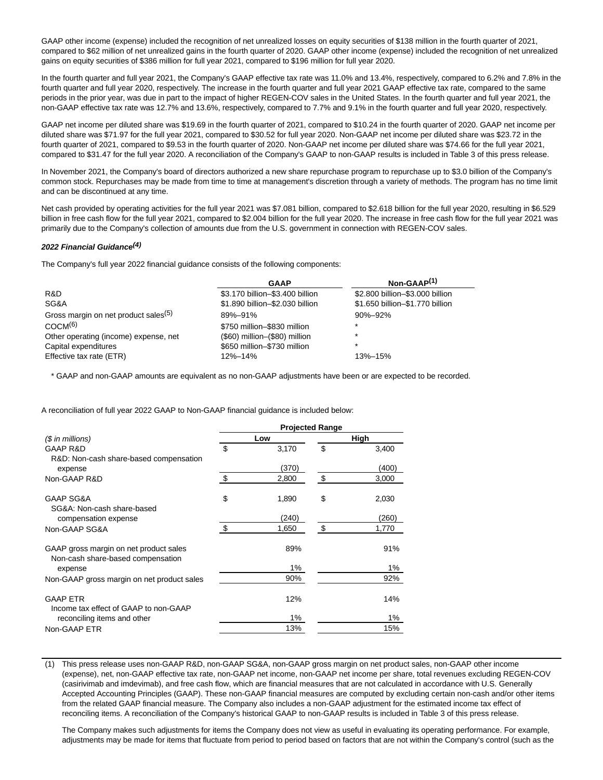GAAP other income (expense) included the recognition of net unrealized losses on equity securities of \$138 million in the fourth quarter of 2021, compared to \$62 million of net unrealized gains in the fourth quarter of 2020. GAAP other income (expense) included the recognition of net unrealized gains on equity securities of \$386 million for full year 2021, compared to \$196 million for full year 2020.

In the fourth quarter and full year 2021, the Company's GAAP effective tax rate was 11.0% and 13.4%, respectively, compared to 6.2% and 7.8% in the fourth quarter and full year 2020, respectively. The increase in the fourth quarter and full year 2021 GAAP effective tax rate, compared to the same periods in the prior year, was due in part to the impact of higher REGEN-COV sales in the United States. In the fourth quarter and full year 2021, the non-GAAP effective tax rate was 12.7% and 13.6%, respectively, compared to 7.7% and 9.1% in the fourth quarter and full year 2020, respectively.

GAAP net income per diluted share was \$19.69 in the fourth quarter of 2021, compared to \$10.24 in the fourth quarter of 2020. GAAP net income per diluted share was \$71.97 for the full year 2021, compared to \$30.52 for full year 2020. Non-GAAP net income per diluted share was \$23.72 in the fourth quarter of 2021, compared to \$9.53 in the fourth quarter of 2020. Non-GAAP net income per diluted share was \$74.66 for the full year 2021, compared to \$31.47 for the full year 2020. A reconciliation of the Company's GAAP to non-GAAP results is included in Table 3 of this press release.

In November 2021, the Company's board of directors authorized a new share repurchase program to repurchase up to \$3.0 billion of the Company's common stock. Repurchases may be made from time to time at management's discretion through a variety of methods. The program has no time limit and can be discontinued at any time.

Net cash provided by operating activities for the full year 2021 was \$7.081 billion, compared to \$2.618 billion for the full year 2020, resulting in \$6.529 billion in free cash flow for the full year 2021, compared to \$2.004 billion for the full year 2020. The increase in free cash flow for the full year 2021 was primarily due to the Company's collection of amounts due from the U.S. government in connection with REGEN-COV sales.

#### **2022 Financial Guidance(4)**

The Company's full year 2022 financial guidance consists of the following components:

|                                                  | <b>GAAP</b>                      | Non-GAAP <sup>(1)</sup>         |
|--------------------------------------------------|----------------------------------|---------------------------------|
| R&D                                              | \$3.170 billion-\$3.400 billion  | \$2.800 billion-\$3.000 billion |
| SG&A                                             | \$1.890 billion-\$2.030 billion  | \$1.650 billion-\$1.770 billion |
| Gross margin on net product sales <sup>(5)</sup> | 89%-91%                          | $90\% - 92\%$                   |
| COCM(6)                                          | \$750 million-\$830 million      | $\star$                         |
| Other operating (income) expense, net            | $($60)$ million- $($80)$ million | $\star$                         |
| Capital expenditures                             | \$650 million-\$730 million      | $\star$                         |
| Effective tax rate (ETR)                         | 12%-14%                          | 13%-15%                         |

\* GAAP and non-GAAP amounts are equivalent as no non-GAAP adjustments have been or are expected to be recorded.

A reconciliation of full year 2022 GAAP to Non-GAAP financial guidance is included below:

|                                                                             | <b>Projected Range</b> |       |    |       |  |  |  |  |
|-----------------------------------------------------------------------------|------------------------|-------|----|-------|--|--|--|--|
| $$$ in millions)                                                            |                        | Low   |    | High  |  |  |  |  |
| <b>GAAP R&amp;D</b>                                                         | \$                     | 3,170 | \$ | 3,400 |  |  |  |  |
| R&D: Non-cash share-based compensation                                      |                        | (370) |    | (400) |  |  |  |  |
| expense                                                                     |                        |       |    |       |  |  |  |  |
| Non-GAAP R&D                                                                | \$                     | 2,800 | \$ | 3,000 |  |  |  |  |
| <b>GAAP SG&amp;A</b>                                                        | \$                     | 1,890 | \$ | 2,030 |  |  |  |  |
| SG&A: Non-cash share-based<br>compensation expense                          |                        | (240) |    | (260) |  |  |  |  |
| Non-GAAP SG&A                                                               | \$                     | 1,650 | \$ | 1,770 |  |  |  |  |
| GAAP gross margin on net product sales<br>Non-cash share-based compensation |                        | 89%   |    | 91%   |  |  |  |  |
| expense                                                                     |                        | $1\%$ |    | 1%    |  |  |  |  |
| Non-GAAP gross margin on net product sales                                  |                        | 90%   |    | 92%   |  |  |  |  |
| <b>GAAP ETR</b><br>Income tax effect of GAAP to non-GAAP                    |                        | 12%   |    | 14%   |  |  |  |  |
| reconciling items and other                                                 |                        | $1\%$ |    | 1%    |  |  |  |  |
| Non-GAAP ETR                                                                |                        | 13%   |    | 15%   |  |  |  |  |

(1) This press release uses non-GAAP R&D, non-GAAP SG&A, non-GAAP gross margin on net product sales, non-GAAP other income (expense), net, non-GAAP effective tax rate, non-GAAP net income, non-GAAP net income per share, total revenues excluding REGEN-COV (casirivimab and imdevimab), and free cash flow, which are financial measures that are not calculated in accordance with U.S. Generally Accepted Accounting Principles (GAAP). These non-GAAP financial measures are computed by excluding certain non-cash and/or other items from the related GAAP financial measure. The Company also includes a non-GAAP adjustment for the estimated income tax effect of reconciling items. A reconciliation of the Company's historical GAAP to non-GAAP results is included in Table 3 of this press release.

The Company makes such adjustments for items the Company does not view as useful in evaluating its operating performance. For example, adjustments may be made for items that fluctuate from period to period based on factors that are not within the Company's control (such as the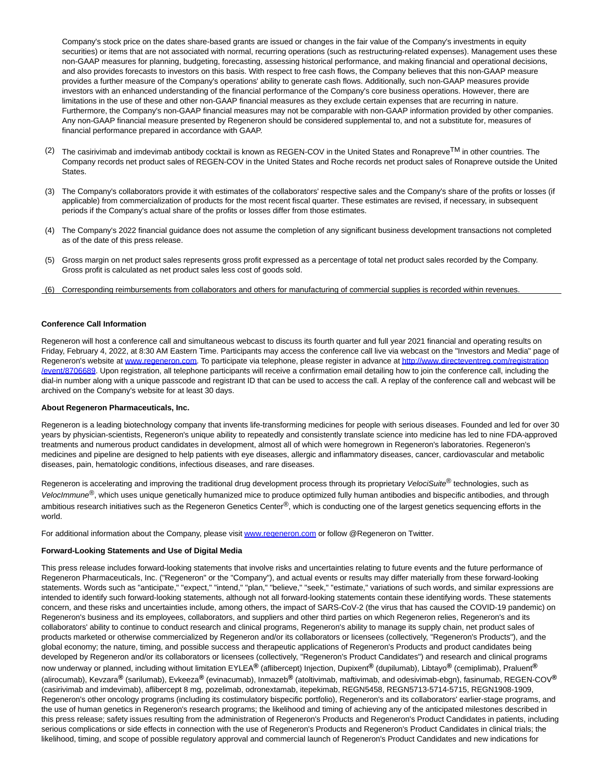Company's stock price on the dates share-based grants are issued or changes in the fair value of the Company's investments in equity securities) or items that are not associated with normal, recurring operations (such as restructuring-related expenses). Management uses these non-GAAP measures for planning, budgeting, forecasting, assessing historical performance, and making financial and operational decisions, and also provides forecasts to investors on this basis. With respect to free cash flows, the Company believes that this non-GAAP measure provides a further measure of the Company's operations' ability to generate cash flows. Additionally, such non-GAAP measures provide investors with an enhanced understanding of the financial performance of the Company's core business operations. However, there are limitations in the use of these and other non-GAAP financial measures as they exclude certain expenses that are recurring in nature. Furthermore, the Company's non-GAAP financial measures may not be comparable with non-GAAP information provided by other companies. Any non-GAAP financial measure presented by Regeneron should be considered supplemental to, and not a substitute for, measures of financial performance prepared in accordance with GAAP.

- $(2)$  The casirivimab and imdevimab antibody cocktail is known as REGEN-COV in the United States and Ronapreve<sup>TM</sup> in other countries. The Company records net product sales of REGEN-COV in the United States and Roche records net product sales of Ronapreve outside the United States.
- (3) The Company's collaborators provide it with estimates of the collaborators' respective sales and the Company's share of the profits or losses (if applicable) from commercialization of products for the most recent fiscal quarter. These estimates are revised, if necessary, in subsequent periods if the Company's actual share of the profits or losses differ from those estimates.
- (4) The Company's 2022 financial guidance does not assume the completion of any significant business development transactions not completed as of the date of this press release.
- (5) Gross margin on net product sales represents gross profit expressed as a percentage of total net product sales recorded by the Company. Gross profit is calculated as net product sales less cost of goods sold.
- (6) Corresponding reimbursements from collaborators and others for manufacturing of commercial supplies is recorded within revenues.

#### **Conference Call Information**

Regeneron will host a conference call and simultaneous webcast to discuss its fourth quarter and full year 2021 financial and operating results on Friday, February 4, 2022, at 8:30 AM Eastern Time. Participants may access the conference call live via webcast on the "Investors and Media" page of Regeneron's website at [www.regeneron.com.](https://c212.net/c/link/?t=0&l=en&o=3434033-1&h=1487013812&u=http%3A%2F%2Fwww.regeneron.com%2F&a=www.regeneron.com) To participate via telephone, please register in advance a[t http://www.directeventreg.com/registration](https://c212.net/c/link/?t=0&l=en&o=3434033-1&h=2861835924&u=http%3A%2F%2Fwww.directeventreg.com%2Fregistration%2Fevent%2F8706689&a=http%3A%2F%2Fwww.directeventreg.com%2Fregistration%2Fevent%2F8706689) /event/8706689. Upon registration, all telephone participants will receive a confirmation email detailing how to join the conference call, including the dial-in number along with a unique passcode and registrant ID that can be used to access the call. A replay of the conference call and webcast will be archived on the Company's website for at least 30 days.

#### **About Regeneron Pharmaceuticals, Inc.**

Regeneron is a leading biotechnology company that invents life-transforming medicines for people with serious diseases. Founded and led for over 30 years by physician-scientists, Regeneron's unique ability to repeatedly and consistently translate science into medicine has led to nine FDA-approved treatments and numerous product candidates in development, almost all of which were homegrown in Regeneron's laboratories. Regeneron's medicines and pipeline are designed to help patients with eye diseases, allergic and inflammatory diseases, cancer, cardiovascular and metabolic diseases, pain, hematologic conditions, infectious diseases, and rare diseases.

Regeneron is accelerating and improving the traditional drug development process through its proprietary VelociSuite® technologies, such as VelocImmune<sup>®</sup>, which uses unique genetically humanized mice to produce optimized fully human antibodies and bispecific antibodies, and through ambitious research initiatives such as the Regeneron Genetics Center<sup>®</sup>, which is conducting one of the largest genetics sequencing efforts in the world.

For additional information about the Company, please visi[t www.regeneron.com o](https://c212.net/c/link/?t=0&l=en&o=3434033-1&h=1487013812&u=http%3A%2F%2Fwww.regeneron.com%2F&a=www.regeneron.com)r follow @Regeneron on Twitter.

#### **Forward-Looking Statements and Use of Digital Media**

This press release includes forward-looking statements that involve risks and uncertainties relating to future events and the future performance of Regeneron Pharmaceuticals, Inc. ("Regeneron" or the "Company"), and actual events or results may differ materially from these forward-looking statements. Words such as "anticipate," "expect," "intend," "plan," "believe," "seek," "estimate," variations of such words, and similar expressions are intended to identify such forward-looking statements, although not all forward-looking statements contain these identifying words. These statements concern, and these risks and uncertainties include, among others, the impact of SARS-CoV-2 (the virus that has caused the COVID-19 pandemic) on Regeneron's business and its employees, collaborators, and suppliers and other third parties on which Regeneron relies, Regeneron's and its collaborators' ability to continue to conduct research and clinical programs, Regeneron's ability to manage its supply chain, net product sales of products marketed or otherwise commercialized by Regeneron and/or its collaborators or licensees (collectively, "Regeneron's Products"), and the global economy; the nature, timing, and possible success and therapeutic applications of Regeneron's Products and product candidates being developed by Regeneron and/or its collaborators or licensees (collectively, "Regeneron's Product Candidates") and research and clinical programs now underway or planned, including without limitation EYLEA**®** (aflibercept) Injection, Dupixent**®** (dupilumab), Libtayo**®** (cemiplimab), Praluent**®** (alirocumab), Kevzara**®** (sarilumab), Evkeeza**®** (evinacumab), Inmazeb**®** (atoltivimab, maftivimab, and odesivimab-ebgn), fasinumab, REGEN-COV**®** (casirivimab and imdevimab), aflibercept 8 mg, pozelimab, odronextamab, itepekimab, REGN5458, REGN5713-5714-5715, REGN1908-1909, Regeneron's other oncology programs (including its costimulatory bispecific portfolio), Regeneron's and its collaborators' earlier-stage programs, and the use of human genetics in Regeneron's research programs; the likelihood and timing of achieving any of the anticipated milestones described in this press release; safety issues resulting from the administration of Regeneron's Products and Regeneron's Product Candidates in patients, including serious complications or side effects in connection with the use of Regeneron's Products and Regeneron's Product Candidates in clinical trials; the likelihood, timing, and scope of possible regulatory approval and commercial launch of Regeneron's Product Candidates and new indications for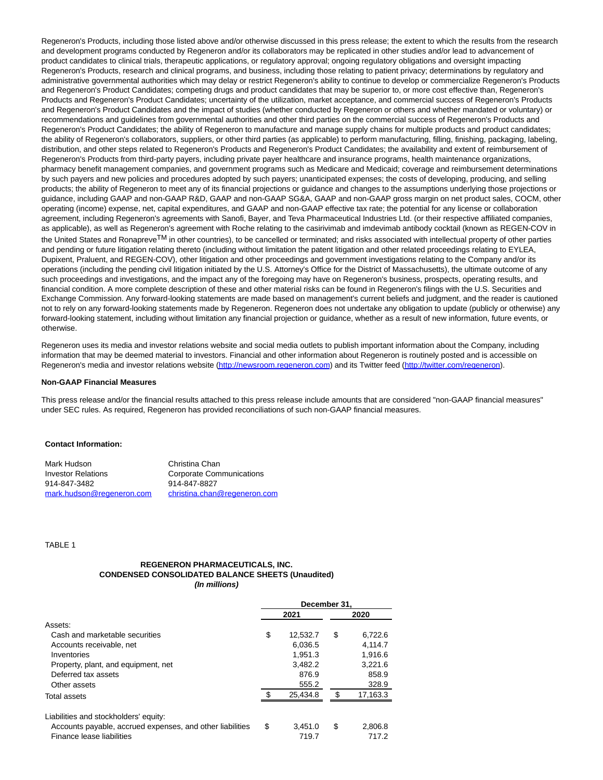Regeneron's Products, including those listed above and/or otherwise discussed in this press release; the extent to which the results from the research and development programs conducted by Regeneron and/or its collaborators may be replicated in other studies and/or lead to advancement of product candidates to clinical trials, therapeutic applications, or regulatory approval; ongoing regulatory obligations and oversight impacting Regeneron's Products, research and clinical programs, and business, including those relating to patient privacy; determinations by regulatory and administrative governmental authorities which may delay or restrict Regeneron's ability to continue to develop or commercialize Regeneron's Products and Regeneron's Product Candidates; competing drugs and product candidates that may be superior to, or more cost effective than, Regeneron's Products and Regeneron's Product Candidates; uncertainty of the utilization, market acceptance, and commercial success of Regeneron's Products and Regeneron's Product Candidates and the impact of studies (whether conducted by Regeneron or others and whether mandated or voluntary) or recommendations and guidelines from governmental authorities and other third parties on the commercial success of Regeneron's Products and Regeneron's Product Candidates; the ability of Regeneron to manufacture and manage supply chains for multiple products and product candidates; the ability of Regeneron's collaborators, suppliers, or other third parties (as applicable) to perform manufacturing, filling, finishing, packaging, labeling, distribution, and other steps related to Regeneron's Products and Regeneron's Product Candidates; the availability and extent of reimbursement of Regeneron's Products from third-party payers, including private payer healthcare and insurance programs, health maintenance organizations, pharmacy benefit management companies, and government programs such as Medicare and Medicaid; coverage and reimbursement determinations by such payers and new policies and procedures adopted by such payers; unanticipated expenses; the costs of developing, producing, and selling products; the ability of Regeneron to meet any of its financial projections or guidance and changes to the assumptions underlying those projections or guidance, including GAAP and non-GAAP R&D, GAAP and non-GAAP SG&A, GAAP and non-GAAP gross margin on net product sales, COCM, other operating (income) expense, net, capital expenditures, and GAAP and non-GAAP effective tax rate; the potential for any license or collaboration agreement, including Regeneron's agreements with Sanofi, Bayer, and Teva Pharmaceutical Industries Ltd. (or their respective affiliated companies, as applicable), as well as Regeneron's agreement with Roche relating to the casirivimab and imdevimab antibody cocktail (known as REGEN-COV in the United States and Ronapreve<sup>TM</sup> in other countries), to be cancelled or terminated; and risks associated with intellectual property of other parties and pending or future litigation relating thereto (including without limitation the patent litigation and other related proceedings relating to EYLEA, Dupixent, Praluent, and REGEN-COV), other litigation and other proceedings and government investigations relating to the Company and/or its operations (including the pending civil litigation initiated by the U.S. Attorney's Office for the District of Massachusetts), the ultimate outcome of any such proceedings and investigations, and the impact any of the foregoing may have on Regeneron's business, prospects, operating results, and financial condition. A more complete description of these and other material risks can be found in Regeneron's filings with the U.S. Securities and Exchange Commission. Any forward-looking statements are made based on management's current beliefs and judgment, and the reader is cautioned not to rely on any forward-looking statements made by Regeneron. Regeneron does not undertake any obligation to update (publicly or otherwise) any forward-looking statement, including without limitation any financial projection or guidance, whether as a result of new information, future events, or otherwise.

Regeneron uses its media and investor relations website and social media outlets to publish important information about the Company, including information that may be deemed material to investors. Financial and other information about Regeneron is routinely posted and is accessible on Regeneron's media and investor relations website [\(http://newsroom.regeneron.com\)](http://newsroom.regeneron.com/) and its Twitter feed [\(http://twitter.com/regeneron\).](http://twitter.com/regeneron)

#### **Non-GAAP Financial Measures**

This press release and/or the financial results attached to this press release include amounts that are considered "non-GAAP financial measures" under SEC rules. As required, Regeneron has provided reconciliations of such non-GAAP financial measures.

#### **Contact Information:**

| Mark Hudson               | Christina Chan                  |
|---------------------------|---------------------------------|
| <b>Investor Relations</b> | <b>Corporate Communications</b> |
| 914-847-3482              | 914-847-8827                    |
| mark.hudson@regeneron.com | christina.chan@regeneron.com    |

TABLE 1

#### **REGENERON PHARMACEUTICALS, INC. CONDENSED CONSOLIDATED BALANCE SHEETS (Unaudited) (In millions)**

|                                                           | December 31. |          |    |          |  |
|-----------------------------------------------------------|--------------|----------|----|----------|--|
|                                                           |              | 2021     |    | 2020     |  |
| Assets:                                                   |              |          |    |          |  |
| Cash and marketable securities                            | \$           | 12,532.7 | \$ | 6,722.6  |  |
| Accounts receivable, net                                  |              | 6.036.5  |    | 4.114.7  |  |
| Inventories                                               |              | 1.951.3  |    | 1.916.6  |  |
| Property, plant, and equipment, net                       |              | 3.482.2  |    | 3.221.6  |  |
| Deferred tax assets                                       |              | 876.9    |    | 858.9    |  |
| Other assets                                              |              | 555.2    |    | 328.9    |  |
| Total assets                                              |              | 25.434.8 | £. | 17,163.3 |  |
|                                                           |              |          |    |          |  |
| Liabilities and stockholders' equity:                     |              |          |    |          |  |
| Accounts payable, accrued expenses, and other liabilities | \$           | 3.451.0  | \$ | 2.806.8  |  |
| Finance lease liabilities                                 |              | 719.7    |    | 717.2    |  |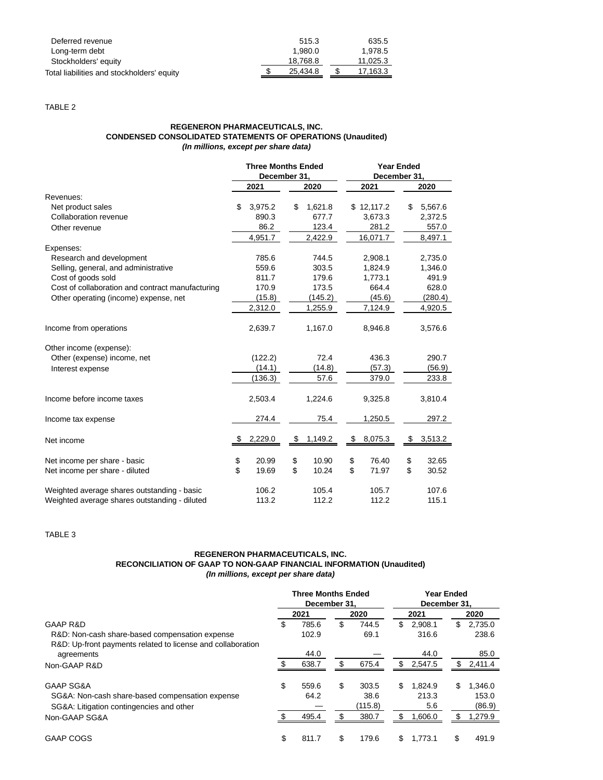| Deferred revenue<br>Long-term debt         | 515.3<br>1.980.0 | 635.5<br>1.978.5 |
|--------------------------------------------|------------------|------------------|
| Stockholders' equity                       | 18.768.8         | 11.025.3         |
| Total liabilities and stockholders' equity | 25.434.8         | 17.163.3         |

TABLE 2

## **REGENERON PHARMACEUTICALS, INC. CONDENSED CONSOLIDATED STATEMENTS OF OPERATIONS (Unaudited) (In millions, except per share data)**

|                                                  | <b>Three Months Ended</b> |               |    | <b>Year Ended</b> |    |         |
|--------------------------------------------------|---------------------------|---------------|----|-------------------|----|---------|
|                                                  | December 31,              |               |    | December 31,      |    |         |
|                                                  | 2021                      | 2020          |    | 2021              |    | 2020    |
| Revenues:                                        |                           |               |    |                   |    |         |
| Net product sales                                | \$<br>3,975.2             | \$<br>1,621.8 |    | \$12,117.2        | \$ | 5,567.6 |
| Collaboration revenue                            | 890.3                     | 677.7         |    | 3,673.3           |    | 2,372.5 |
| Other revenue                                    | 86.2                      | 123.4         |    | 281.2             |    | 557.0   |
|                                                  | 4,951.7                   | 2,422.9       |    | 16,071.7          |    | 8,497.1 |
| Expenses:                                        |                           |               |    |                   |    |         |
| Research and development                         | 785.6                     | 744.5         |    | 2,908.1           |    | 2,735.0 |
| Selling, general, and administrative             | 559.6                     | 303.5         |    | 1,824.9           |    | 1,346.0 |
| Cost of goods sold                               | 811.7                     | 179.6         |    | 1,773.1           |    | 491.9   |
| Cost of collaboration and contract manufacturing | 170.9                     | 173.5         |    | 664.4             |    | 628.0   |
| Other operating (income) expense, net            | (15.8)                    | (145.2)       |    | (45.6)            |    | (280.4) |
|                                                  | 2,312.0                   | 1,255.9       |    | 7,124.9           |    | 4,920.5 |
| Income from operations                           | 2,639.7                   | 1,167.0       |    | 8,946.8           |    | 3,576.6 |
| Other income (expense):                          |                           |               |    |                   |    |         |
| Other (expense) income, net                      | (122.2)                   | 72.4          |    | 436.3             |    | 290.7   |
| Interest expense                                 | (14.1)                    | (14.8)        |    | (57.3)            |    | (56.9)  |
|                                                  | (136.3)                   | 57.6          |    | 379.0             |    | 233.8   |
| Income before income taxes                       | 2,503.4                   | 1,224.6       |    | 9,325.8           |    | 3,810.4 |
| Income tax expense                               | 274.4                     | 75.4          |    | 1,250.5           |    | 297.2   |
| Net income                                       | 2,229.0                   | \$<br>1,149.2 | \$ | 8,075.3           | \$ | 3,513.2 |
| Net income per share - basic                     | \$<br>20.99               | \$<br>10.90   | \$ | 76.40             | \$ | 32.65   |
| Net income per share - diluted                   | \$<br>19.69               | \$<br>10.24   | \$ | 71.97             | \$ | 30.52   |
| Weighted average shares outstanding - basic      | 106.2                     | 105.4         |    | 105.7             |    | 107.6   |
| Weighted average shares outstanding - diluted    | 113.2                     | 112.2         |    | 112.2             |    | 115.1   |

TABLE 3

# **REGENERON PHARMACEUTICALS, INC. RECONCILIATION OF GAAP TO NON-GAAP FINANCIAL INFORMATION (Unaudited) (In millions, except per share data)**

|                                                                                             | <b>Three Months Ended</b><br>December 31. |       |    |                 | <b>Year Ended</b><br>December 31. |              |     |                 |
|---------------------------------------------------------------------------------------------|-------------------------------------------|-------|----|-----------------|-----------------------------------|--------------|-----|-----------------|
|                                                                                             |                                           | 2021  |    | 2020            |                                   | 2021         |     | 2020            |
| <b>GAAP R&amp;D</b>                                                                         | S                                         | 785.6 | \$ | 744.5           | \$                                | 2.908.1      | \$  | 2,735.0         |
| R&D: Non-cash share-based compensation expense                                              |                                           | 102.9 |    | 69.1            |                                   | 316.6        |     | 238.6           |
| R&D: Up-front payments related to license and collaboration<br>agreements                   |                                           | 44.0  |    |                 |                                   | 44.0         |     | 85.0            |
| Non-GAAP R&D                                                                                |                                           | 638.7 | \$ | 675.4           | S                                 | 2,547.5      | S   | 2,411.4         |
| <b>GAAP SG&amp;A</b>                                                                        | \$                                        | 559.6 | \$ | 303.5           | \$                                | 1.824.9      | \$  | 1.346.0         |
| SG&A: Non-cash share-based compensation expense<br>SG&A: Litigation contingencies and other |                                           | 64.2  |    | 38.6<br>(115.8) |                                   | 213.3<br>5.6 |     | 153.0<br>(86.9) |
| Non-GAAP SG&A                                                                               |                                           | 495.4 | \$ | 380.7           | \$                                | 1,606.0      | \$. | 1,279.9         |
| <b>GAAP COGS</b>                                                                            | \$                                        | 811.7 | \$ | 179.6           | \$.                               | 1.773.1      |     | 491.9           |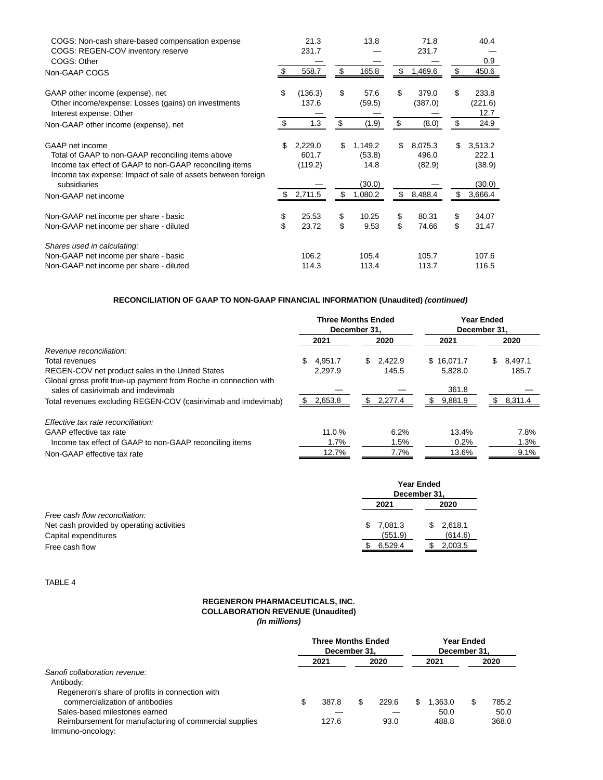| COGS: Non-cash share-based compensation expense<br>COGS: REGEN-COV inventory reserve<br>COGS: Other                                                                                                                                    |           | 21.3<br>231.7                          |          | 13.8                                           |          | 71.8<br>231.7                         |          | 40.4<br>0.9                                     |
|----------------------------------------------------------------------------------------------------------------------------------------------------------------------------------------------------------------------------------------|-----------|----------------------------------------|----------|------------------------------------------------|----------|---------------------------------------|----------|-------------------------------------------------|
| Non-GAAP COGS                                                                                                                                                                                                                          | \$        | 558.7                                  | \$       | 165.8                                          | \$       | 1,469.6                               | \$       | 450.6                                           |
| GAAP other income (expense), net<br>Other income/expense: Losses (gains) on investments<br>Interest expense: Other                                                                                                                     | \$        | (136.3)<br>137.6                       | \$       | 57.6<br>(59.5)                                 | \$       | 379.0<br>(387.0)                      | \$.      | 233.8<br>(221.6)<br>12.7                        |
| Non-GAAP other income (expense), net                                                                                                                                                                                                   | \$.       | 1.3                                    | \$       | (1.9)                                          | \$       | (8.0)                                 | \$       | 24.9                                            |
| GAAP net income<br>Total of GAAP to non-GAAP reconciling items above<br>Income tax effect of GAAP to non-GAAP reconciling items<br>Income tax expense: Impact of sale of assets between foreign<br>subsidiaries<br>Non-GAAP net income | \$<br>\$  | 2,229.0<br>601.7<br>(119.2)<br>2,711.5 | \$<br>\$ | 1,149.2<br>(53.8)<br>14.8<br>(30.0)<br>1,080.2 | \$<br>\$ | 8,075.3<br>496.0<br>(82.9)<br>8,488.4 | \$       | 3,513.2<br>222.1<br>(38.9)<br>(30.0)<br>3,666.4 |
| Non-GAAP net income per share - basic<br>Non-GAAP net income per share - diluted                                                                                                                                                       | \$<br>\$. | 25.53<br>23.72                         | \$<br>\$ | 10.25<br>9.53                                  | \$<br>\$ | 80.31<br>74.66                        | \$<br>\$ | 34.07<br>31.47                                  |
| Shares used in calculating:<br>Non-GAAP net income per share - basic<br>Non-GAAP net income per share - diluted                                                                                                                        |           | 106.2<br>114.3                         |          | 105.4<br>113.4                                 |          | 105.7<br>113.7                        |          | 107.6<br>116.5                                  |

# **RECONCILIATION OF GAAP TO NON-GAAP FINANCIAL INFORMATION (Unaudited) (continued)**

|                                                                                                         |                | <b>Three Months Ended</b><br>December 31. | <b>Year Ended</b><br>December 31. |               |  |  |
|---------------------------------------------------------------------------------------------------------|----------------|-------------------------------------------|-----------------------------------|---------------|--|--|
|                                                                                                         | 2021           | 2020                                      | 2021                              | 2020          |  |  |
| Revenue reconciliation:                                                                                 |                |                                           |                                   |               |  |  |
| Total revenues                                                                                          | \$.<br>4.951.7 | \$2.422.9                                 | \$16.071.7                        | 8.497.1<br>\$ |  |  |
| REGEN-COV net product sales in the United States                                                        | 2.297.9        | 145.5                                     | 5,828.0                           | 185.7         |  |  |
| Global gross profit true-up payment from Roche in connection with<br>sales of casirivimab and imdevimab |                |                                           | 361.8                             |               |  |  |
| Total revenues excluding REGEN-COV (casirivimab and imdevimab)                                          | 2,653.8        | \$.<br>2,277.4                            | 9,881.9<br>\$.                    | 8,311.4       |  |  |
| Effective tax rate reconciliation:                                                                      |                |                                           |                                   |               |  |  |
| GAAP effective tax rate                                                                                 | 11.0%          | 6.2%                                      | 13.4%                             | 7.8%          |  |  |
| Income tax effect of GAAP to non-GAAP reconciling items                                                 | 1.7%           | 1.5%                                      | 0.2%                              | 1.3%          |  |  |
| Non-GAAP effective tax rate                                                                             | 12.7%          | 7.7%                                      | 13.6%                             | 9.1%          |  |  |

|                                           |               | <b>Year Ended</b><br>December 31, |
|-------------------------------------------|---------------|-----------------------------------|
|                                           | 2021          | 2020                              |
| Free cash flow reconciliation:            |               |                                   |
| Net cash provided by operating activities | 7.081.3<br>S. | 2,618.1<br>S.                     |
| Capital expenditures                      | (551.9)       | (614.6)                           |
| Free cash flow                            | 6.529.4       | 2,003.5                           |

TABLE 4

#### **REGENERON PHARMACEUTICALS, INC. COLLABORATION REVENUE (Unaudited) (In millions)**

|                                                        | <b>Three Months Ended</b><br>December 31. |       |   |              | <b>Year Ended</b><br>December 31. |         |      |       |
|--------------------------------------------------------|-------------------------------------------|-------|---|--------------|-----------------------------------|---------|------|-------|
|                                                        | 2021                                      |       |   | 2020<br>2021 |                                   |         | 2020 |       |
| Sanofi collaboration revenue:                          |                                           |       |   |              |                                   |         |      |       |
| Antibody:                                              |                                           |       |   |              |                                   |         |      |       |
| Regeneron's share of profits in connection with        |                                           |       |   |              |                                   |         |      |       |
| commercialization of antibodies                        |                                           | 387.8 | S | 229.6        |                                   | 1.363.0 | S.   | 785.2 |
| Sales-based milestones earned                          |                                           |       |   |              |                                   | 50.0    |      | 50.0  |
| Reimbursement for manufacturing of commercial supplies |                                           | 127.6 |   | 93.0         |                                   | 488.8   |      | 368.0 |
| Immuno-oncology:                                       |                                           |       |   |              |                                   |         |      |       |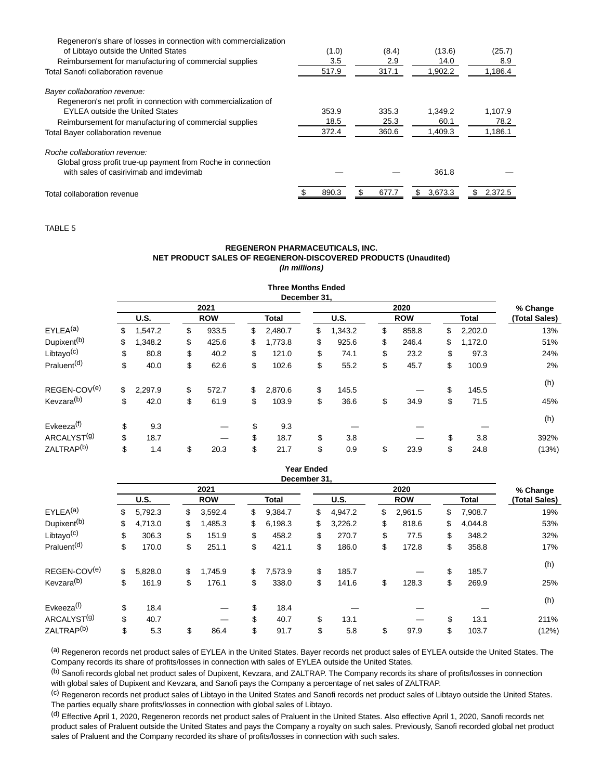| Regeneron's share of losses in connection with commercialization |       |              |               |               |
|------------------------------------------------------------------|-------|--------------|---------------|---------------|
| of Libtayo outside the United States                             | (1.0) | (8.4)        | (13.6)        | (25.7)        |
| Reimbursement for manufacturing of commercial supplies           | 3.5   | 2.9          | 14.0          | 8.9           |
| Total Sanofi collaboration revenue                               | 517.9 | 317.1        | 1.902.2       | 1,186.4       |
| Bayer collaboration revenue:                                     |       |              |               |               |
| Regeneron's net profit in connection with commercialization of   |       |              |               |               |
| <b>EYLEA</b> outside the United States                           | 353.9 | 335.3        | 1.349.2       | 1.107.9       |
| Reimbursement for manufacturing of commercial supplies           | 18.5  | 25.3         | 60.1          | 78.2          |
| <b>Total Bayer collaboration revenue</b>                         | 372.4 | 360.6        | 1.409.3       | 1,186.1       |
| Roche collaboration revenue:                                     |       |              |               |               |
| Global gross profit true-up payment from Roche in connection     |       |              |               |               |
| with sales of casirivimab and imdevimab                          |       |              | 361.8         |               |
|                                                                  | 890.3 | \$.<br>677.7 | 3,673.3<br>S. | 2,372.5<br>S. |
| Total collaboration revenue                                      |       |              |               |               |

TABLE 5

#### **REGENERON PHARMACEUTICALS, INC. NET PRODUCT SALES OF REGENERON-DISCOVERED PRODUCTS (Unaudited) (In millions)**

| <b>Three Months Ended</b><br>December 31. |      |         |            |       |              |         |             |         |            |       |              |         |                           |
|-------------------------------------------|------|---------|------------|-------|--------------|---------|-------------|---------|------------|-------|--------------|---------|---------------------------|
|                                           |      |         |            | 2021  |              | 2020    |             |         |            |       |              |         |                           |
|                                           | U.S. |         | <b>ROW</b> |       | <b>Total</b> |         | <b>U.S.</b> |         | <b>ROW</b> |       | <b>Total</b> |         | % Change<br>(Total Sales) |
| EYLEA <sup>(a)</sup>                      | \$   | 1,547.2 | \$         | 933.5 | \$           | 2,480.7 | \$          | 1,343.2 | \$         | 858.8 | \$           | 2,202.0 | 13%                       |
| Dupixent <sup>(b)</sup>                   | \$   | 1,348.2 | \$         | 425.6 | \$           | 1,773.8 | \$          | 925.6   | \$         | 246.4 | \$           | 1,172.0 | 51%                       |
| Libtayo <sup>(c)</sup>                    | \$   | 80.8    | \$         | 40.2  | \$           | 121.0   | \$          | 74.1    | \$         | 23.2  | \$           | 97.3    | 24%                       |
| Praluent <sup>(d)</sup>                   | \$   | 40.0    | \$         | 62.6  | \$           | 102.6   | \$          | 55.2    | \$         | 45.7  | \$           | 100.9   | 2%                        |
| REGEN-COV(e)                              | \$   | 2,297.9 | \$         | 572.7 | \$           | 2,870.6 | \$          | 145.5   |            |       | \$           | 145.5   | (h)                       |
| Kevzara <sup>(b)</sup>                    | \$   | 42.0    | \$         | 61.9  | \$           | 103.9   | \$          | 36.6    | \$         | 34.9  | \$           | 71.5    | 45%                       |
| Evkeeza <sup>(f)</sup>                    | \$   | 9.3     |            |       | \$           | 9.3     |             |         |            |       |              |         | (h)                       |
| ARCALYST <sup>(g)</sup>                   | \$   | 18.7    |            |       | \$           | 18.7    | \$          | 3.8     |            |       | \$           | 3.8     | 392%                      |
| ZALTRAP <sup>(b)</sup>                    | \$   | 1.4     | \$         | 20.3  | \$           | 21.7    | \$          | 0.9     | \$         | 23.9  | \$           | 24.8    | (13%)                     |

#### **Year Ended December 31,**

|                         | <b>DUCTION</b> VI. |         |    |            |    |              |    |             |          |            |    |              |               |
|-------------------------|--------------------|---------|----|------------|----|--------------|----|-------------|----------|------------|----|--------------|---------------|
|                         | 2021               |         |    |            |    |              |    |             | % Change |            |    |              |               |
|                         | <b>U.S.</b>        |         |    | <b>ROW</b> |    | <b>Total</b> |    | <b>U.S.</b> |          | <b>ROW</b> |    | <b>Total</b> | (Total Sales) |
| EYLEA <sup>(a)</sup>    | \$                 | 5,792.3 | \$ | 3,592.4    | \$ | 9,384.7      | \$ | 4,947.2     | \$       | 2,961.5    | \$ | 7,908.7      | 19%           |
| Dupixent <sup>(b)</sup> | \$                 | 4,713.0 | \$ | 1,485.3    | \$ | 6,198.3      | \$ | 3,226.2     | \$       | 818.6      | \$ | 4.044.8      | 53%           |
| Libtayo $(c)$           | \$                 | 306.3   | \$ | 151.9      | \$ | 458.2        | \$ | 270.7       | \$       | 77.5       | \$ | 348.2        | 32%           |
| Praluent <sup>(d)</sup> | \$                 | 170.0   | \$ | 251.1      | \$ | 421.1        | \$ | 186.0       | \$       | 172.8      | \$ | 358.8        | 17%           |
| REGEN-COV(e)            | \$                 |         | \$ | 1.745.9    |    | 7.573.9      |    | 185.7       |          |            | \$ | 185.7        | (h)           |
|                         |                    | 5,828.0 |    |            | \$ |              | \$ |             |          |            |    |              |               |
| Kevzara <sup>(b)</sup>  | \$                 | 161.9   | \$ | 176.1      | \$ | 338.0        | \$ | 141.6       | \$       | 128.3      | \$ | 269.9        | 25%           |
| Evkeeza <sup>(f)</sup>  | \$                 | 18.4    |    |            | \$ | 18.4         |    |             |          |            |    |              | (h)           |
| ARCALYST <sup>(g)</sup> | \$                 | 40.7    |    |            | \$ | 40.7         | \$ | 13.1        |          |            | \$ | 13.1         | 211%          |
| ZALTRAP <sup>(b)</sup>  | \$                 | 5.3     | \$ | 86.4       | \$ | 91.7         | \$ | 5.8         | \$       | 97.9       | \$ | 103.7        | (12%)         |

(a) Regeneron records net product sales of EYLEA in the United States. Bayer records net product sales of EYLEA outside the United States. The Company records its share of profits/losses in connection with sales of EYLEA outside the United States.

(b) Sanofi records global net product sales of Dupixent, Kevzara, and ZALTRAP. The Company records its share of profits/losses in connection with global sales of Dupixent and Kevzara, and Sanofi pays the Company a percentage of net sales of ZALTRAP.

(c) Regeneron records net product sales of Libtayo in the United States and Sanofi records net product sales of Libtayo outside the United States. The parties equally share profits/losses in connection with global sales of Libtayo.

(d) Effective April 1, 2020, Regeneron records net product sales of Praluent in the United States. Also effective April 1, 2020, Sanofi records net product sales of Praluent outside the United States and pays the Company a royalty on such sales. Previously, Sanofi recorded global net product sales of Praluent and the Company recorded its share of profits/losses in connection with such sales.